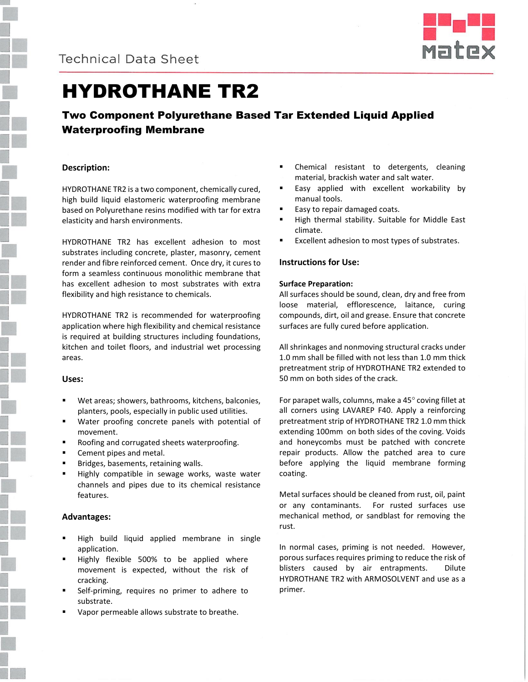



# HYDROTHANE TR2

# Two Component Polyurethane Based Tar Extended Liquid Applied Waterproofing Membrane

# **Description:**

HYDROTHANE TR2 is a two component, chemically cured, high build liquid elastomeric waterproofing membrane based on Polyurethane resins modified with tar for extra elasticity and harsh environments.

HYDROTHANE TR2 has excellent adhesion to most substrates including concrete, plaster, masonry, cement render and fibre reinforced cement. Once dry, it cures to form a seamless continuous monolithic membrane that has excellent adhesion to most substrates with extra flexibility and high resistance to chemicals.

HYDROTHANE TR2 is recommended for waterproofing application where high flexibility and chemical resistance is required at building structures including foundations, kitchen and toilet floors, and industrial wet processing areas.

# **Uses:**

- Wet areas; showers, bathrooms, kitchens, balconies, planters, pools, especially in public used utilities.
- Water proofing concrete panels with potential of movement.
- Roofing and corrugated sheets waterproofing.
- Cement pipes and metal.
- Bridges, basements, retaining walls.
- Highly compatible in sewage works, waste water channels and pipes due to its chemical resistance features.

# **Advantages:**

- High build liquid applied membrane in single application.
- Highly flexible 500% to be applied where movement is expected, without the risk of cracking.
- Self-priming, requires no primer to adhere to substrate.
- Vapor permeable allows substrate to breathe.
- Chemical resistant to detergents, cleaning material, brackish water and salt water.
- Easy applied with excellent workability by manual tools.
- Easy to repair damaged coats.
- High thermal stability. Suitable for Middle East climate.
- Excellent adhesion to most types of substrates.

# **Instructions for Use:**

# **Surface Preparation:**

All surfaces should be sound, clean, dry and free from loose material, efflorescence, laitance, curing compounds, dirt, oil and grease. Ensure that concrete surfaces are fully cured before application.

All shrinkages and nonmoving structural cracks under 1.0 mm shall be filled with not less than 1.0 mm thick pretreatment strip of HYDROTHANE TR2 extended to 50 mm on both sides of the crack.

For parapet walls, columns, make a  $45^\circ$  coving fillet at all corners using LAVAREP F40. Apply a reinforcing pretreatment strip of HYDROTHANE TR2 1.0 mm thick extending 100mm on both sides of the coving. Voids and honeycombs must be patched with concrete repair products. Allow the patched area to cure before applying the liquid membrane forming coating.

Metal surfaces should be cleaned from rust, oil, paint or any contaminants. For rusted surfaces use mechanical method, or sandblast for removing the rust.

In normal cases, priming is not needed. However, porous surfaces requires priming to reduce the risk of blisters caused by air entrapments. Dilute HYDROTHANE TR2 with ARMOSOLVENT and use as a primer.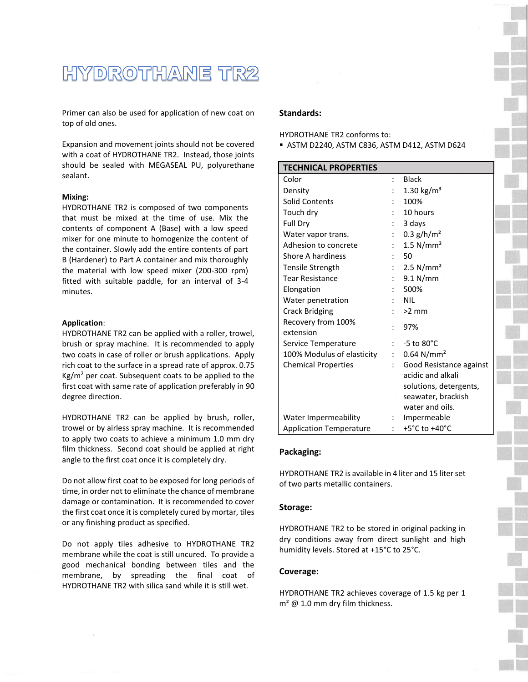# HYDROTHANE TR2

Primer can also be used for application of new coat on top of old ones.

Expansion and movement joints should not be covered with a coat of HYDROTHANE TR2. Instead, those joints should be sealed with MEGASEAL PU, polyurethane sealant.

#### **Mixing:**

HYDROTHANE TR2 is composed of two components that must be mixed at the time of use. Mix the contents of component A (Base) with a low speed mixer for one minute to homogenize the content of the container. Slowly add the entire contents of part B (Hardener) to Part A container and mix thoroughly the material with low speed mixer (200-300 rpm) fitted with suitable paddle, for an interval of 3-4 minutes.

#### **Application**:

HYDROTHANE TR2 can be applied with a roller, trowel, brush or spray machine. It is recommended to apply two coats in case of roller or brush applications. Apply rich coat to the surface in a spread rate of approx. 0.75  $Kg/m<sup>2</sup>$  per coat. Subsequent coats to be applied to the first coat with same rate of application preferably in 90 degree direction.

HYDROTHANE TR2 can be applied by brush, roller, trowel or by airless spray machine. It is recommended to apply two coats to achieve a minimum 1.0 mm dry film thickness. Second coat should be applied at right angle to the first coat once it is completely dry.

Do not allow first coat to be exposed for long periods of time, in order not to eliminate the chance of membrane damage or contamination. It is recommended to cover the first coat once it is completely cured by mortar, tiles or any finishing product as specified.

Do not apply tiles adhesive to HYDROTHANE TR2 membrane while the coat is still uncured. To provide a good mechanical bonding between tiles and the membrane, by spreading the final coat of HYDROTHANE TR2 with silica sand while it is still wet.

#### **Standards:**

HYDROTHANE TR2 conforms to:

ASTM D2240, ASTM C836, ASTM D412, ASTM D624

| <b>TECHNICAL PROPERTIES</b>                         |    |                          |
|-----------------------------------------------------|----|--------------------------|
| Color                                               |    | <b>Black</b>             |
| Density                                             |    | 1.30 $\text{kg/m}^3$     |
| <b>Solid Contents</b>                               |    | 100%                     |
| Touch dry                                           |    | 10 hours                 |
| Full Dry                                            |    | 3 days                   |
| Water vapor trans.                                  |    | $0.3$ g/h/m <sup>2</sup> |
| Adhesion to concrete                                |    | $1.5$ N/mm <sup>2</sup>  |
| Shore A hardiness                                   |    | - 50                     |
| Tensile Strength                                    |    | $2.5$ N/mm <sup>2</sup>  |
| Tear Resistance                                     |    | 9.1 N/mm                 |
| Elongation                                          |    | 500%                     |
| Water penetration                                   |    | <b>NIL</b>               |
| <b>Crack Bridging</b>                               |    | $\therefore$ >2 mm       |
| Recovery from 100%<br>extension                     |    | 97%                      |
| Service Temperature                                 |    | $-5$ to $80^{\circ}$ C   |
| 100% Modulus of elasticity : 0.64 N/mm <sup>2</sup> |    |                          |
| <b>Chemical Properties</b>                          | t. | Good Resistance against  |
|                                                     |    | acidic and alkali        |
|                                                     |    | solutions, detergents,   |
|                                                     |    | seawater, brackish       |
|                                                     |    | water and oils.          |
| Water Impermeability                                |    | : Impermeable            |
| <b>Application Temperature</b>                      |    | +5°C to +40°C            |

#### **Packaging:**

HYDROTHANE TR2 is available in 4 liter and 15 liter set of two parts metallic containers.

#### **Storage:**

HYDROTHANE TR2 to be stored in original packing in dry conditions away from direct sunlight and high humidity levels. Stored at +15°C to 25°C.

#### **Coverage:**

HYDROTHANE TR2 achieves coverage of 1.5 kg per 1  $m^2 \omega$  1.0 mm dry film thickness.